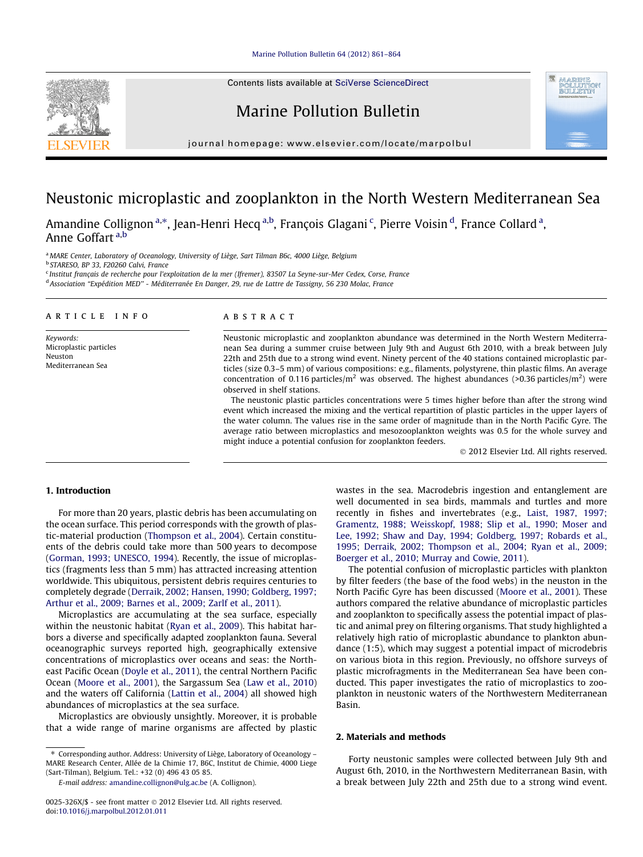#### [Marine Pollution Bulletin 64 \(2012\) 861–864](http://dx.doi.org/10.1016/j.marpolbul.2012.01.011)

Contents lists available at [SciVerse ScienceDirect](http://www.sciencedirect.com/science/journal/0025326X)

# Marine Pollution Bulletin

journal homepage: [www.elsevier.com/locate/marpolbul](http://www.elsevier.com/locate/marpolbul)

# Neustonic microplastic and zooplankton in the North Western Mediterranean Sea

, Amandine Collignon <sup>a,\*</sup>, Jean-Henri Hecq <sup>a,b</sup>, François Glagani <sup>c</sup>, Pierre Voisin <sup>d</sup>, France Collard <sup>a</sup>, Anne Goffart a,b

a MARE Center, Laboratory of Oceanology, University of Liège, Sart Tilman B6c, 4000 Liège, Belgium

<sup>b</sup> STARESO, BP 33, F20260 Calvi, France

<sup>c</sup> Institut français de recherche pour l'exploitation de la mer (Ifremer), 83507 La Seyne-sur-Mer Cedex, Corse, France <sup>d</sup> Association ''Expédition MED'' - Méditerranée En Danger, 29, rue de Lattre de Tassigny, 56 230 Molac, France

## article info

Keywords: Microplastic particles Neuston Mediterranean Sea

## ABSTRACT

Neustonic microplastic and zooplankton abundance was determined in the North Western Mediterranean Sea during a summer cruise between July 9th and August 6th 2010, with a break between July 22th and 25th due to a strong wind event. Ninety percent of the 40 stations contained microplastic particles (size 0.3–5 mm) of various compositions: e.g., filaments, polystyrene, thin plastic films. An average concentration of 0.116 particles/ $m^2$  was observed. The highest abundances (>0.36 particles/ $m^2$ ) were observed in shelf stations.

The neustonic plastic particles concentrations were 5 times higher before than after the strong wind event which increased the mixing and the vertical repartition of plastic particles in the upper layers of the water column. The values rise in the same order of magnitude than in the North Pacific Gyre. The average ratio between microplastics and mesozooplankton weights was 0.5 for the whole survey and might induce a potential confusion for zooplankton feeders.

- 2012 Elsevier Ltd. All rights reserved.

# 1. Introduction

For more than 20 years, plastic debris has been accumulating on the ocean surface. This period corresponds with the growth of plastic-material production [\(Thompson et al., 2004\)](#page-3-0). Certain constituents of the debris could take more than 500 years to decompose ([Gorman, 1993; UNESCO, 1994](#page-3-0)). Recently, the issue of microplastics (fragments less than 5 mm) has attracted increasing attention worldwide. This ubiquitous, persistent debris requires centuries to completely degrade ([Derraik, 2002; Hansen, 1990; Goldberg, 1997;](#page-3-0) [Arthur et al., 2009; Barnes et al., 2009; Zarlf et al., 2011\)](#page-3-0).

Microplastics are accumulating at the sea surface, especially within the neustonic habitat ([Ryan et al., 2009\)](#page-3-0). This habitat harbors a diverse and specifically adapted zooplankton fauna. Several oceanographic surveys reported high, geographically extensive concentrations of microplastics over oceans and seas: the Northeast Pacific Ocean ([Doyle et al., 2011\)](#page-3-0), the central Northern Pacific Ocean [\(Moore et al., 2001\)](#page-3-0), the Sargassum Sea ([Law et al., 2010\)](#page-3-0) and the waters off California ([Lattin et al., 2004](#page-3-0)) all showed high abundances of microplastics at the sea surface.

Microplastics are obviously unsightly. Moreover, it is probable that a wide range of marine organisms are affected by plastic

⇑ Corresponding author. Address: University of Liège, Laboratory of Oceanology – MARE Research Center, Allée de la Chimie 17, B6C, Institut de Chimie, 4000 Liege (Sart-Tilman), Belgium. Tel.: +32 (0) 496 43 05 85.

wastes in the sea. Macrodebris ingestion and entanglement are well documented in sea birds, mammals and turtles and more recently in fishes and invertebrates (e.g., [Laist, 1987, 1997;](#page-3-0) [Gramentz, 1988; Weisskopf, 1988; Slip et al., 1990; Moser and](#page-3-0) [Lee, 1992; Shaw and Day, 1994; Goldberg, 1997; Robards et al.,](#page-3-0) [1995; Derraik, 2002; Thompson et al., 2004; Ryan et al., 2009;](#page-3-0) [Boerger et al., 2010; Murray and Cowie, 2011\)](#page-3-0).

The potential confusion of microplastic particles with plankton by filter feeders (the base of the food webs) in the neuston in the North Pacific Gyre has been discussed [\(Moore et al., 2001](#page-3-0)). These authors compared the relative abundance of microplastic particles and zooplankton to specifically assess the potential impact of plastic and animal prey on filtering organisms. That study highlighted a relatively high ratio of microplastic abundance to plankton abundance (1:5), which may suggest a potential impact of microdebris on various biota in this region. Previously, no offshore surveys of plastic microfragments in the Mediterranean Sea have been conducted. This paper investigates the ratio of microplastics to zooplankton in neustonic waters of the Northwestern Mediterranean Basin.

# 2. Materials and methods

Forty neustonic samples were collected between July 9th and August 6th, 2010, in the Northwestern Mediterranean Basin, with a break between July 22th and 25th due to a strong wind event.



E-mail address: [amandine.collignon@ulg.ac.be](mailto:amandine.collignon@ulg.ac.be) (A. Collignon).

<sup>0025-326</sup>X/\$ - see front matter © 2012 Elsevier Ltd. All rights reserved. doi[:10.1016/j.marpolbul.2012.01.011](http://dx.doi.org/10.1016/j.marpolbul.2012.01.011)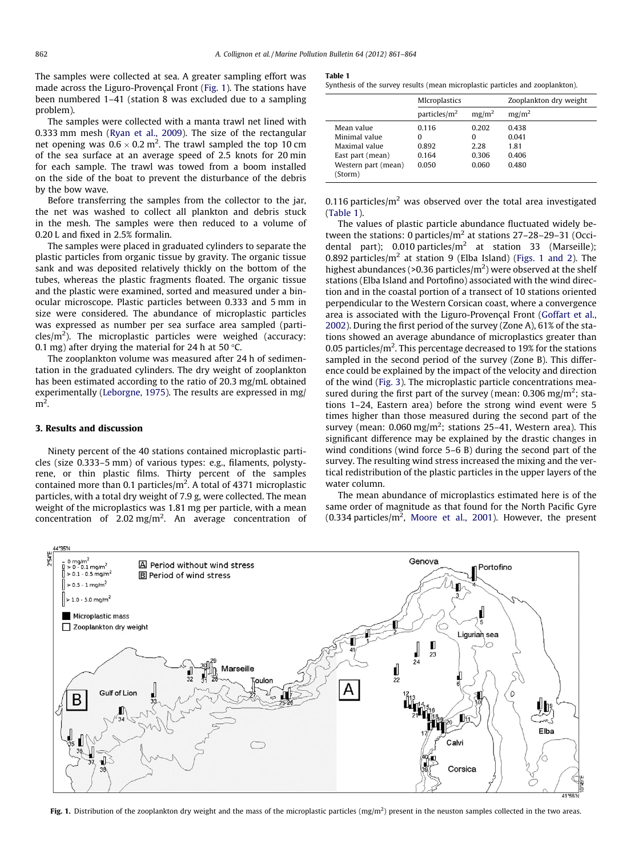<span id="page-1-0"></span>The samples were collected at sea. A greater sampling effort was made across the Liguro-Provençal Front (Fig. 1). The stations have been numbered 1–41 (station 8 was excluded due to a sampling problem).

The samples were collected with a manta trawl net lined with 0.333 mm mesh ([Ryan et al., 2009\)](#page-3-0). The size of the rectangular net opening was  $0.6 \times 0.2$  m<sup>2</sup>. The trawl sampled the top 10 cm of the sea surface at an average speed of 2.5 knots for 20 min for each sample. The trawl was towed from a boom installed on the side of the boat to prevent the disturbance of the debris by the bow wave.

Before transferring the samples from the collector to the jar, the net was washed to collect all plankton and debris stuck in the mesh. The samples were then reduced to a volume of 0.20 L and fixed in 2.5% formalin.

The samples were placed in graduated cylinders to separate the plastic particles from organic tissue by gravity. The organic tissue sank and was deposited relatively thickly on the bottom of the tubes, whereas the plastic fragments floated. The organic tissue and the plastic were examined, sorted and measured under a binocular microscope. Plastic particles between 0.333 and 5 mm in size were considered. The abundance of microplastic particles was expressed as number per sea surface area sampled (particles/m<sup>2</sup>). The microplastic particles were weighed (accuracy: 0.1 mg) after drying the material for 24 h at 50  $\degree$ C.

The zooplankton volume was measured after 24 h of sedimentation in the graduated cylinders. The dry weight of zooplankton has been estimated according to the ratio of 20.3 mg/mL obtained experimentally [\(Leborgne, 1975](#page-3-0)). The results are expressed in mg/  $m<sup>2</sup>$ .

### 3. Results and discussion

Ninety percent of the 40 stations contained microplastic particles (size 0.333–5 mm) of various types: e.g., filaments, polystyrene, or thin plastic films. Thirty percent of the samples contained more than 0.1 particles/m<sup>2</sup>. A total of 4371 microplastic particles, with a total dry weight of 7.9 g, were collected. The mean weight of the microplastics was 1.81 mg per particle, with a mean concentration of 2.02 mg/m<sup>2</sup>. An average concentration of

#### Table 1

Synthesis of the survey results (mean microplastic particles and zooplankton).

|                                | <b>M</b> Icroplastics |                   | Zooplankton dry weight |
|--------------------------------|-----------------------|-------------------|------------------------|
|                                | particles/ $m2$       | mg/m <sup>2</sup> | mg/m <sup>2</sup>      |
| Mean value                     | 0.116                 | 0.202             | 0.438                  |
| Minimal value                  | 0                     | 0                 | 0.041                  |
| Maximal value                  | 0.892                 | 2.28              | 1.81                   |
| East part (mean)               | 0.164                 | 0.306             | 0.406                  |
| Western part (mean)<br>(Storm) | 0.050                 | 0.060             | 0.480                  |

0.116 particles/ $m<sup>2</sup>$  was observed over the total area investigated (Table 1).

The values of plastic particle abundance fluctuated widely between the stations: 0 particles/ $m<sup>2</sup>$  at stations 27-28-29-31 (Occidental part); 0.010 particles/ $m^2$  at station 33 (Marseille); 0.892 particles/ $m^2$  at station 9 (Elba Island) (Figs. 1 and 2). The highest abundances (>0.36 particles/ $m<sup>2</sup>$ ) were observed at the shelf stations (Elba Island and Portofino) associated with the wind direction and in the coastal portion of a transect of 10 stations oriented perpendicular to the Western Corsican coast, where a convergence area is associated with the Liguro-Provençal Front [\(Goffart et al.,](#page-3-0) [2002\)](#page-3-0). During the first period of the survey (Zone A), 61% of the stations showed an average abundance of microplastics greater than 0.05 particles/ $m^2$ . This percentage decreased to 19% for the stations sampled in the second period of the survey (Zone B). This difference could be explained by the impact of the velocity and direction of the wind ([Fig. 3](#page-2-0)). The microplastic particle concentrations measured during the first part of the survey (mean:  $0.306$  mg/m<sup>2</sup>; stations 1–24, Eastern area) before the strong wind event were 5 times higher than those measured during the second part of the survey (mean:  $0.060 \text{ mg/m}^2$ ; stations 25–41, Western area). This significant difference may be explained by the drastic changes in wind conditions (wind force 5–6 B) during the second part of the survey. The resulting wind stress increased the mixing and the vertical redistribution of the plastic particles in the upper layers of the water column.

The mean abundance of microplastics estimated here is of the same order of magnitude as that found for the North Pacific Gyre  $(0.334 \text{ particles/m}^2, \text{ Moore et al., } 2001).$  However, the present



Fig. 1. Distribution of the zooplankton dry weight and the mass of the microplastic particles ( $mg/m<sup>2</sup>$ ) present in the neuston samples collected in the two areas.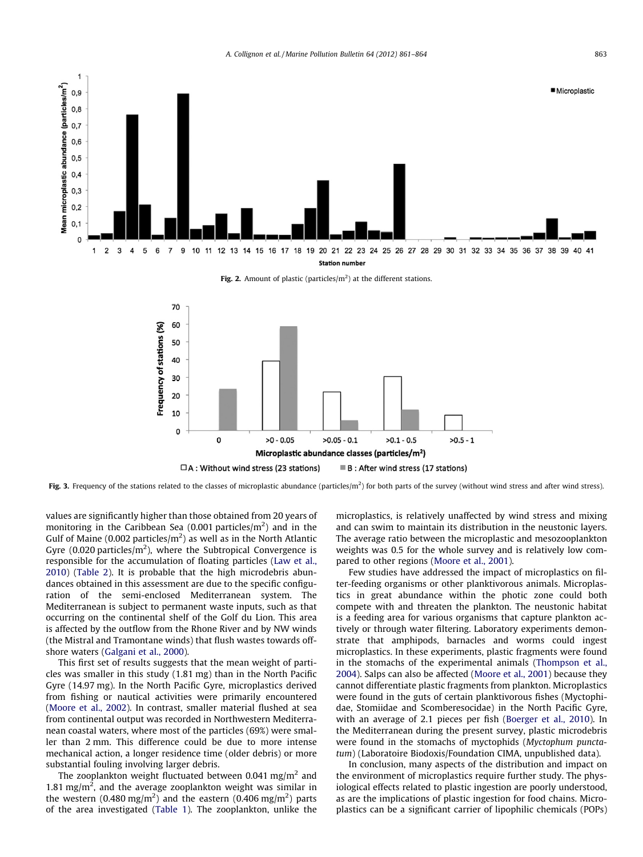<span id="page-2-0"></span>

Fig. 2. Amount of plastic (particles/ $m<sup>2</sup>$ ) at the different stations.



Fig. 3. Frequency of the stations related to the classes of microplastic abundance (particles/m<sup>2</sup>) for both parts of the survey (without wind stress and after wind stress).

values are significantly higher than those obtained from 20 years of monitoring in the Caribbean Sea (0.001 particles/ $m^2$ ) and in the Gulf of Maine (0.002 particles/ $m<sup>2</sup>$ ) as well as in the North Atlantic Gyre (0.020 particles/ $m^2$ ), where the Subtropical Convergence is responsible for the accumulation of floating particles ([Law et al.,](#page-3-0) [2010](#page-3-0)) [\(Table 2](#page-3-0)). It is probable that the high microdebris abundances obtained in this assessment are due to the specific configuration of the semi-enclosed Mediterranean system. The Mediterranean is subject to permanent waste inputs, such as that occurring on the continental shelf of the Golf du Lion. This area is affected by the outflow from the Rhone River and by NW winds (the Mistral and Tramontane winds) that flush wastes towards offshore waters [\(Galgani et al., 2000](#page-3-0)).

This first set of results suggests that the mean weight of particles was smaller in this study (1.81 mg) than in the North Pacific Gyre (14.97 mg). In the North Pacific Gyre, microplastics derived from fishing or nautical activities were primarily encountered ([Moore et al., 2002](#page-3-0)). In contrast, smaller material flushed at sea from continental output was recorded in Northwestern Mediterranean coastal waters, where most of the particles (69%) were smaller than 2 mm. This difference could be due to more intense mechanical action, a longer residence time (older debris) or more substantial fouling involving larger debris.

The zooplankton weight fluctuated between 0.041 mg/m<sup>2</sup> and 1.81 mg/ $m<sup>2</sup>$ , and the average zooplankton weight was similar in the western (0.480 mg/m<sup>2</sup>) and the eastern (0.406 mg/m<sup>2</sup>) parts of the area investigated [\(Table 1](#page-1-0)). The zooplankton, unlike the microplastics, is relatively unaffected by wind stress and mixing and can swim to maintain its distribution in the neustonic layers. The average ratio between the microplastic and mesozooplankton weights was 0.5 for the whole survey and is relatively low compared to other regions [\(Moore et al., 2001](#page-3-0)).

Few studies have addressed the impact of microplastics on filter-feeding organisms or other planktivorous animals. Microplastics in great abundance within the photic zone could both compete with and threaten the plankton. The neustonic habitat is a feeding area for various organisms that capture plankton actively or through water filtering. Laboratory experiments demonstrate that amphipods, barnacles and worms could ingest microplastics. In these experiments, plastic fragments were found in the stomachs of the experimental animals [\(Thompson et al.,](#page-3-0) [2004](#page-3-0)). Salps can also be affected ([Moore et al., 2001\)](#page-3-0) because they cannot differentiate plastic fragments from plankton. Microplastics were found in the guts of certain planktivorous fishes (Myctophidae, Stomiidae and Scomberesocidae) in the North Pacific Gyre, with an average of 2.1 pieces per fish [\(Boerger et al., 2010](#page-3-0)). In the Mediterranean during the present survey, plastic microdebris were found in the stomachs of myctophids (Myctophum punctatum) (Laboratoire Biodoxis/Foundation CIMA, unpublished data).

In conclusion, many aspects of the distribution and impact on the environment of microplastics require further study. The physiological effects related to plastic ingestion are poorly understood, as are the implications of plastic ingestion for food chains. Microplastics can be a significant carrier of lipophilic chemicals (POPs)